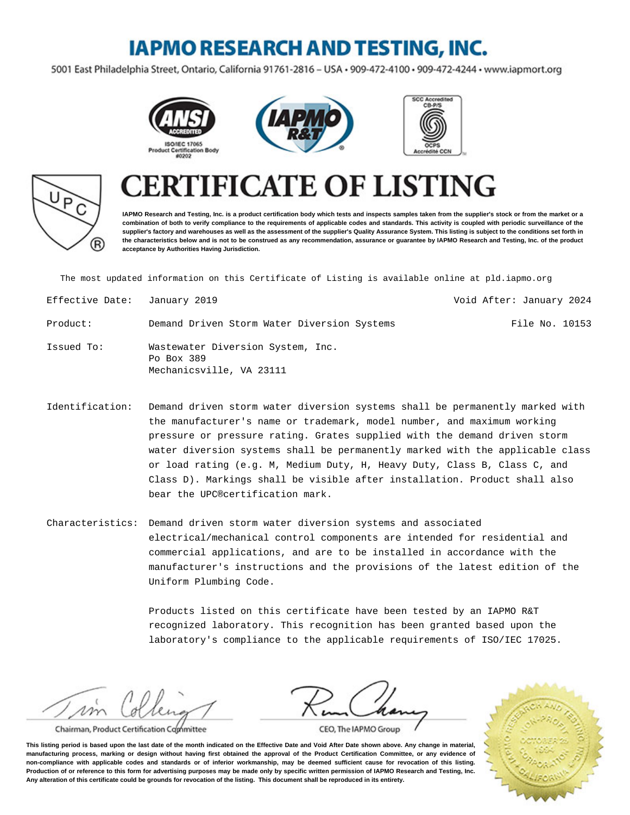### **IAPMO RESEARCH AND TESTING, INC.**

5001 East Philadelphia Street, Ontario, California 91761-2816 - USA · 909-472-4100 · 909-472-4244 · www.iapmort.org







# P R)

## **CATE OF LISTING**

**IAPMO Research and Testing, Inc. is a product certification body which tests and inspects samples taken from the supplier's stock or from the market or a combination of both to verify compliance to the requirements of applicable codes and standards. This activity is coupled with periodic surveillance of the supplier's factory and warehouses as well as the assessment of the supplier's Quality Assurance System. This listing is subject to the conditions set forth in the characteristics below and is not to be construed as any recommendation, assurance or guarantee by IAPMO Research and Testing, Inc. of the product acceptance by Authorities Having Jurisdiction.**

The most updated information on this Certificate of Listing is available online at pld.iapmo.org

| Effective Date: January 2019 |                                                                             | Void After: January 2024 |
|------------------------------|-----------------------------------------------------------------------------|--------------------------|
| Product:                     | Demand Driven Storm Water Diversion Systems                                 | File No. 10153           |
| Issued To:                   | Wastewater Diversion System, Inc.<br>Po Box 389<br>Mechanicsville, VA 23111 |                          |

Identification: Demand driven storm water diversion systems shall be permanently marked with the manufacturer's name or trademark, model number, and maximum working pressure or pressure rating. Grates supplied with the demand driven storm water diversion systems shall be permanently marked with the applicable class or load rating (e.g. M, Medium Duty, H, Heavy Duty, Class B, Class C, and Class D). Markings shall be visible after installation. Product shall also bear the UPC®certification mark.

Characteristics: Demand driven storm water diversion systems and associated electrical/mechanical control components are intended for residential and commercial applications, and are to be installed in accordance with the manufacturer's instructions and the provisions of the latest edition of the Uniform Plumbing Code.

> Products listed on this certificate have been tested by an IAPMO R&T recognized laboratory. This recognition has been granted based upon the laboratory's compliance to the applicable requirements of ISO/IEC 17025.

m

Chairman, Product Certification Committee



CEO, The IAPMO Group

**This listing period is based upon the last date of the month indicated on the Effective Date and Void After Date shown above. Any change in material, manufacturing process, marking or design without having first obtained the approval of the Product Certification Committee, or any evidence of non-compliance with applicable codes and standards or of inferior workmanship, may be deemed sufficient cause for revocation of this listing. Production of or reference to this form for advertising purposes may be made only by specific written permission of IAPMO Research and Testing, Inc. Any alteration of this certificate could be grounds for revocation of the listing. This document shall be reproduced in its entirety.**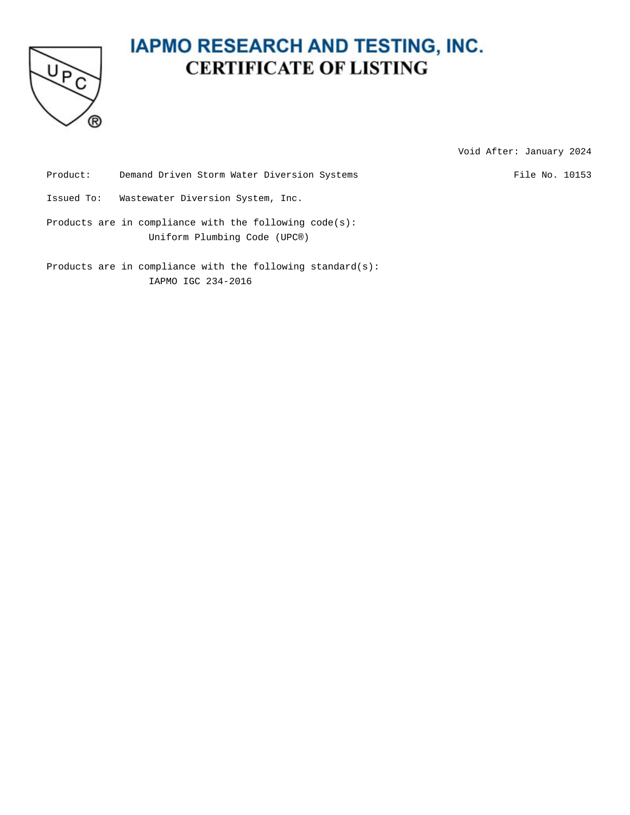

### **IAPMO RESEARCH AND TESTING, INC. CERTIFICATE OF LISTING**

Void After: January 2024

Product: Demand Driven Storm Water Diversion Systems File No. 10153

Issued To: Wastewater Diversion System, Inc.

Products are in compliance with the following code(s): Uniform Plumbing Code (UPC®)

Products are in compliance with the following standard(s): IAPMO IGC 234-2016